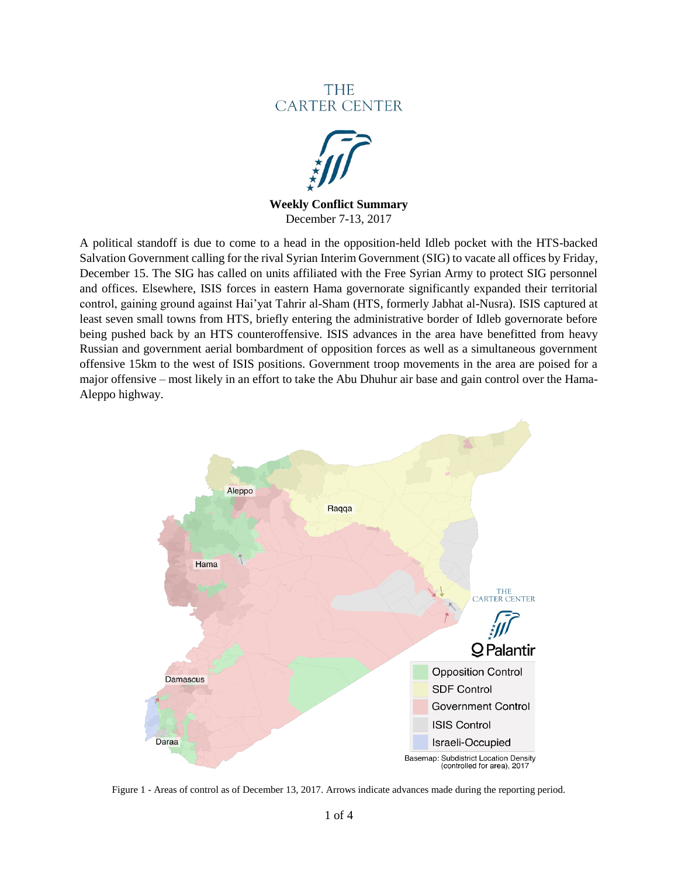# **THE CARTER CENTER**



**Weekly Conflict Summary** December 7-13, 2017

A political standoff is due to come to a head in the opposition-held Idleb pocket with the HTS-backed Salvation Government calling for the rival Syrian Interim Government (SIG) to vacate all offices by Friday, December 15. The SIG has called on units affiliated with the Free Syrian Army to protect SIG personnel and offices. Elsewhere, ISIS forces in eastern Hama governorate significantly expanded their territorial control, gaining ground against Hai'yat Tahrir al-Sham (HTS, formerly Jabhat al-Nusra). ISIS captured at least seven small towns from HTS, briefly entering the administrative border of Idleb governorate before being pushed back by an HTS counteroffensive. ISIS advances in the area have benefitted from heavy Russian and government aerial bombardment of opposition forces as well as a simultaneous government offensive 15km to the west of ISIS positions. Government troop movements in the area are poised for a major offensive – most likely in an effort to take the Abu Dhuhur air base and gain control over the Hama-Aleppo highway.



Figure 1 - Areas of control as of December 13, 2017. Arrows indicate advances made during the reporting period.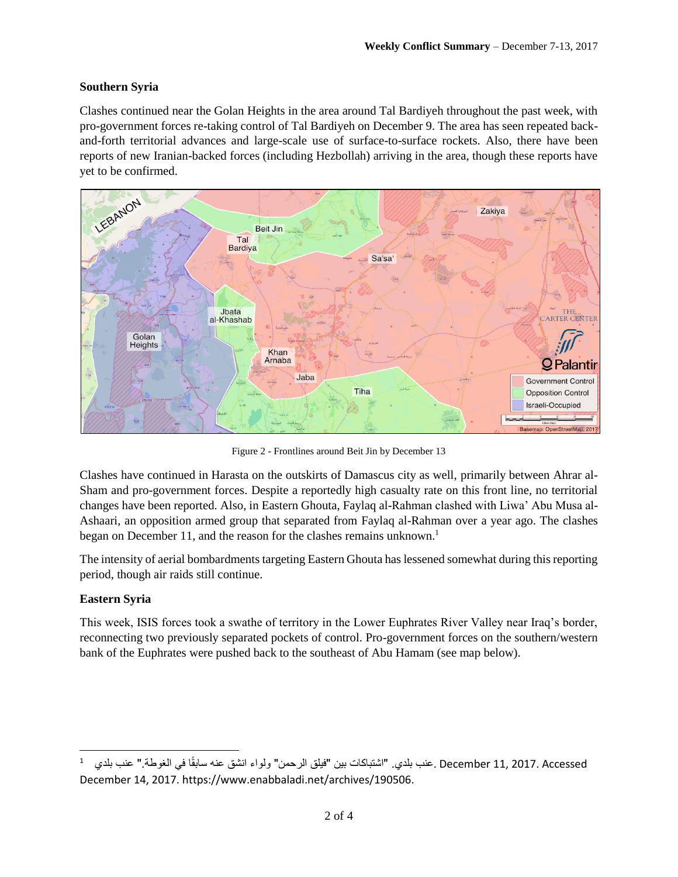## **Southern Syria**

Clashes continued near the Golan Heights in the area around Tal Bardiyeh throughout the past week, with pro-government forces re-taking control of Tal Bardiyeh on December 9. The area has seen repeated backand-forth territorial advances and large-scale use of surface-to-surface rockets. Also, there have been reports of new Iranian-backed forces (including Hezbollah) arriving in the area, though these reports have yet to be confirmed.



Figure 2 - Frontlines around Beit Jin by December 13

Clashes have continued in Harasta on the outskirts of Damascus city as well, primarily between Ahrar al-Sham and pro-government forces. Despite a reportedly high casualty rate on this front line, no territorial changes have been reported. Also, in Eastern Ghouta, Faylaq al-Rahman clashed with Liwa' Abu Musa al-Ashaari, an opposition armed group that separated from Faylaq al-Rahman over a year ago. The clashes began on December 11, and the reason for the clashes remains unknown.<sup>1</sup>

The intensity of aerial bombardments targeting Eastern Ghouta has lessened somewhat during this reporting period, though air raids still continue.

#### **Eastern Syria**

 $\overline{\phantom{a}}$ 

This week, ISIS forces took a swathe of territory in the Lower Euphrates River Valley near Iraq's border, reconnecting two previously separated pockets of control. Pro-government forces on the southern/western bank of the Euphrates were pushed back to the southeast of Abu Hamam (see map below).

<sup>1</sup> December 11, 2017. Accessed .عنب بلدي. "اشتباكات بين "فيلق الرحمن" ولواء انشق عنه سابقًا في الغوطة." عنب بلدي December 14, 2017. https://www.enabbaladi.net/archives/190506.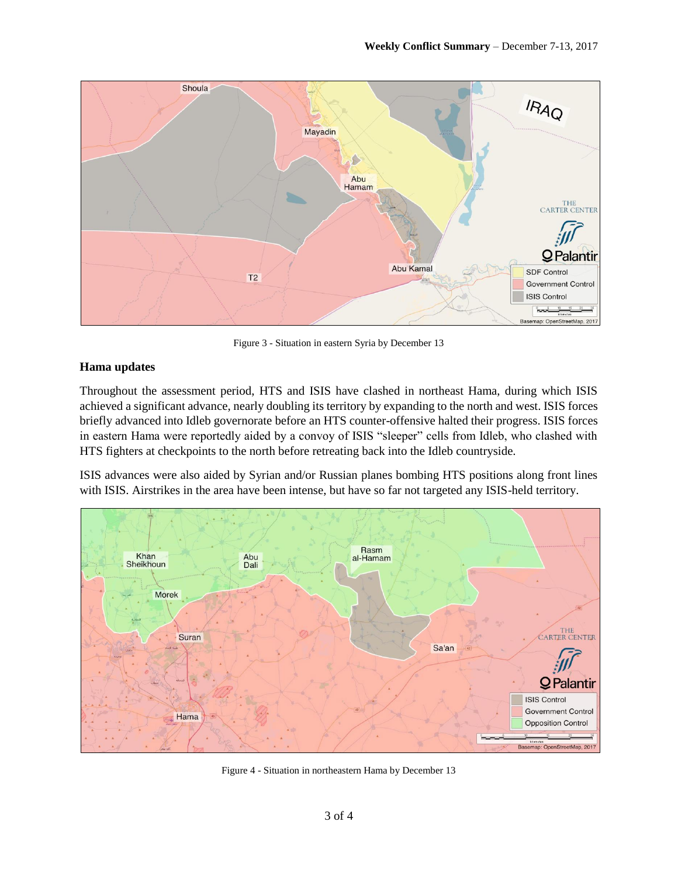

Figure 3 - Situation in eastern Syria by December 13

#### **Hama updates**

Throughout the assessment period, HTS and ISIS have clashed in northeast Hama, during which ISIS achieved a significant advance, nearly doubling its territory by expanding to the north and west. ISIS forces briefly advanced into Idleb governorate before an HTS counter-offensive halted their progress. ISIS forces in eastern Hama were reportedly aided by a convoy of ISIS "sleeper" cells from Idleb, who clashed with HTS fighters at checkpoints to the north before retreating back into the Idleb countryside.

ISIS advances were also aided by Syrian and/or Russian planes bombing HTS positions along front lines with ISIS. Airstrikes in the area have been intense, but have so far not targeted any ISIS-held territory.



Figure 4 - Situation in northeastern Hama by December 13